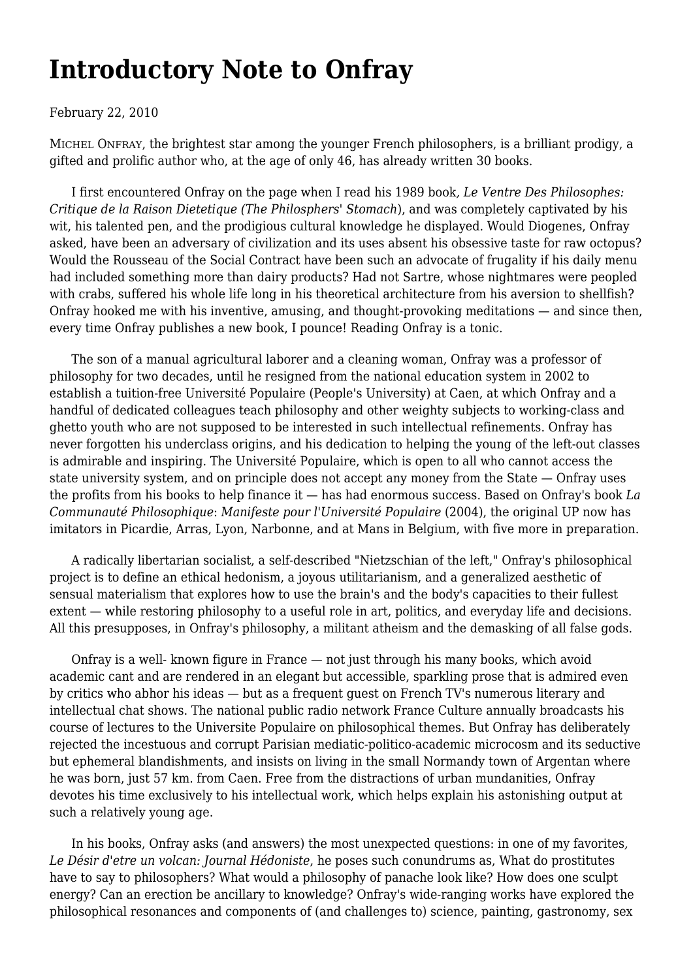## **[Introductory Note to Onfray](https://newpol.org/issue_post/introductory-note-onfray/)**

February 22, 2010

MICHEL ONFRAY, the brightest star among the younger French philosophers, is a brilliant prodigy, a gifted and prolific author who, at the age of only 46, has already written 30 books.

 I first encountered Onfray on the page when I read his 1989 book*, Le Ventre Des Philosophes: Critique de la Raison Dietetique (The Philosphers' Stomach*), and was completely captivated by his wit, his talented pen, and the prodigious cultural knowledge he displayed. Would Diogenes, Onfray asked, have been an adversary of civilization and its uses absent his obsessive taste for raw octopus? Would the Rousseau of the Social Contract have been such an advocate of frugality if his daily menu had included something more than dairy products? Had not Sartre, whose nightmares were peopled with crabs, suffered his whole life long in his theoretical architecture from his aversion to shellfish? Onfray hooked me with his inventive, amusing, and thought-provoking meditations — and since then, every time Onfray publishes a new book, I pounce! Reading Onfray is a tonic.

 The son of a manual agricultural laborer and a cleaning woman, Onfray was a professor of philosophy for two decades, until he resigned from the national education system in 2002 to establish a tuition-free Université Populaire (People's University) at Caen, at which Onfray and a handful of dedicated colleagues teach philosophy and other weighty subjects to working-class and ghetto youth who are not supposed to be interested in such intellectual refinements. Onfray has never forgotten his underclass origins, and his dedication to helping the young of the left-out classes is admirable and inspiring. The Université Populaire, which is open to all who cannot access the state university system, and on principle does not accept any money from the State — Onfray uses the profits from his books to help finance it — has had enormous success. Based on Onfray's book *La Communauté Philosophique*: *Manifeste pour l'Université Populaire* (2004), the original UP now has imitators in Picardie, Arras, Lyon, Narbonne, and at Mans in Belgium, with five more in preparation.

 A radically libertarian socialist, a self-described "Nietzschian of the left," Onfray's philosophical project is to define an ethical hedonism, a joyous utilitarianism, and a generalized aesthetic of sensual materialism that explores how to use the brain's and the body's capacities to their fullest extent — while restoring philosophy to a useful role in art, politics, and everyday life and decisions. All this presupposes, in Onfray's philosophy, a militant atheism and the demasking of all false gods.

 Onfray is a well- known figure in France — not just through his many books, which avoid academic cant and are rendered in an elegant but accessible, sparkling prose that is admired even by critics who abhor his ideas — but as a frequent guest on French TV's numerous literary and intellectual chat shows. The national public radio network France Culture annually broadcasts his course of lectures to the Universite Populaire on philosophical themes. But Onfray has deliberately rejected the incestuous and corrupt Parisian mediatic-politico-academic microcosm and its seductive but ephemeral blandishments, and insists on living in the small Normandy town of Argentan where he was born, just 57 km. from Caen. Free from the distractions of urban mundanities, Onfray devotes his time exclusively to his intellectual work, which helps explain his astonishing output at such a relatively young age.

 In his books, Onfray asks (and answers) the most unexpected questions: in one of my favorites*, Le Désir d'etre un volcan: Journal Hédoniste*, he poses such conundrums as, What do prostitutes have to say to philosophers? What would a philosophy of panache look like? How does one sculpt energy? Can an erection be ancillary to knowledge? Onfray's wide-ranging works have explored the philosophical resonances and components of (and challenges to) science, painting, gastronomy, sex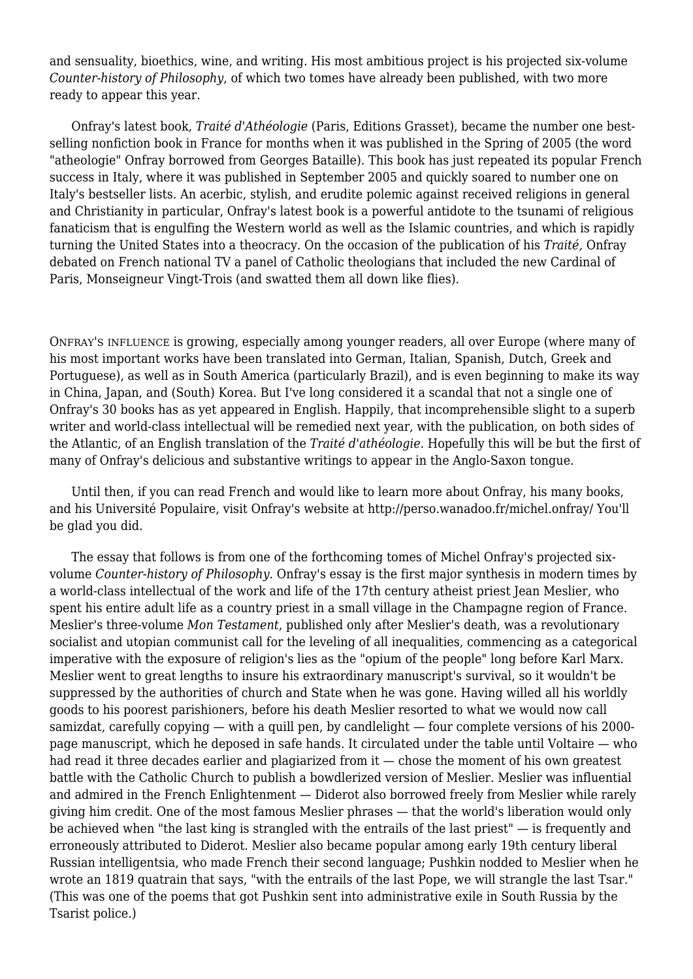and sensuality, bioethics, wine, and writing. His most ambitious project is his projected six-volume *Counter-history of Philosophy*, of which two tomes have already been published, with two more ready to appear this year.

 Onfray's latest book*, Traité d'Athéologie* (Paris, Editions Grasset), became the number one bestselling nonfiction book in France for months when it was published in the Spring of 2005 (the word "atheologie" Onfray borrowed from Georges Bataille). This book has just repeated its popular French success in Italy, where it was published in September 2005 and quickly soared to number one on Italy's bestseller lists. An acerbic, stylish, and erudite polemic against received religions in general and Christianity in particular, Onfray's latest book is a powerful antidote to the tsunami of religious fanaticism that is engulfing the Western world as well as the Islamic countries, and which is rapidly turning the United States into a theocracy. On the occasion of the publication of his *Traité,* Onfray debated on French national TV a panel of Catholic theologians that included the new Cardinal of Paris, Monseigneur Vingt-Trois (and swatted them all down like flies).

ONFRAY'S INFLUENCE is growing, especially among younger readers, all over Europe (where many of his most important works have been translated into German, Italian, Spanish, Dutch, Greek and Portuguese), as well as in South America (particularly Brazil), and is even beginning to make its way in China, Japan, and (South) Korea. But I've long considered it a scandal that not a single one of Onfray's 30 books has as yet appeared in English. Happily, that incomprehensible slight to a superb writer and world-class intellectual will be remedied next year, with the publication, on both sides of the Atlantic, of an English translation of the *Traité d'athéologie*. Hopefully this will be but the first of many of Onfray's delicious and substantive writings to appear in the Anglo-Saxon tongue.

 Until then, if you can read French and would like to learn more about Onfray, his many books, and his Université Populaire, visit Onfray's website at http://perso.wanadoo.fr/michel.onfray/ You'll be glad you did.

 The essay that follows is from one of the forthcoming tomes of Michel Onfray's projected sixvolume *Counter-history of Philosophy*. Onfray's essay is the first major synthesis in modern times by a world-class intellectual of the work and life of the 17th century atheist priest Jean Meslier, who spent his entire adult life as a country priest in a small village in the Champagne region of France. Meslier's three-volume *Mon Testament*, published only after Meslier's death, was a revolutionary socialist and utopian communist call for the leveling of all inequalities, commencing as a categorical imperative with the exposure of religion's lies as the "opium of the people" long before Karl Marx. Meslier went to great lengths to insure his extraordinary manuscript's survival, so it wouldn't be suppressed by the authorities of church and State when he was gone. Having willed all his worldly goods to his poorest parishioners, before his death Meslier resorted to what we would now call samizdat, carefully copying  $-$  with a quill pen, by candlelight  $-$  four complete versions of his 2000page manuscript, which he deposed in safe hands. It circulated under the table until Voltaire — who had read it three decades earlier and plagiarized from it — chose the moment of his own greatest battle with the Catholic Church to publish a bowdlerized version of Meslier. Meslier was influential and admired in the French Enlightenment — Diderot also borrowed freely from Meslier while rarely giving him credit. One of the most famous Meslier phrases — that the world's liberation would only be achieved when "the last king is strangled with the entrails of the last priest" — is frequently and erroneously attributed to Diderot. Meslier also became popular among early 19th century liberal Russian intelligentsia, who made French their second language; Pushkin nodded to Meslier when he wrote an 1819 quatrain that says, "with the entrails of the last Pope, we will strangle the last Tsar." (This was one of the poems that got Pushkin sent into administrative exile in South Russia by the Tsarist police.)